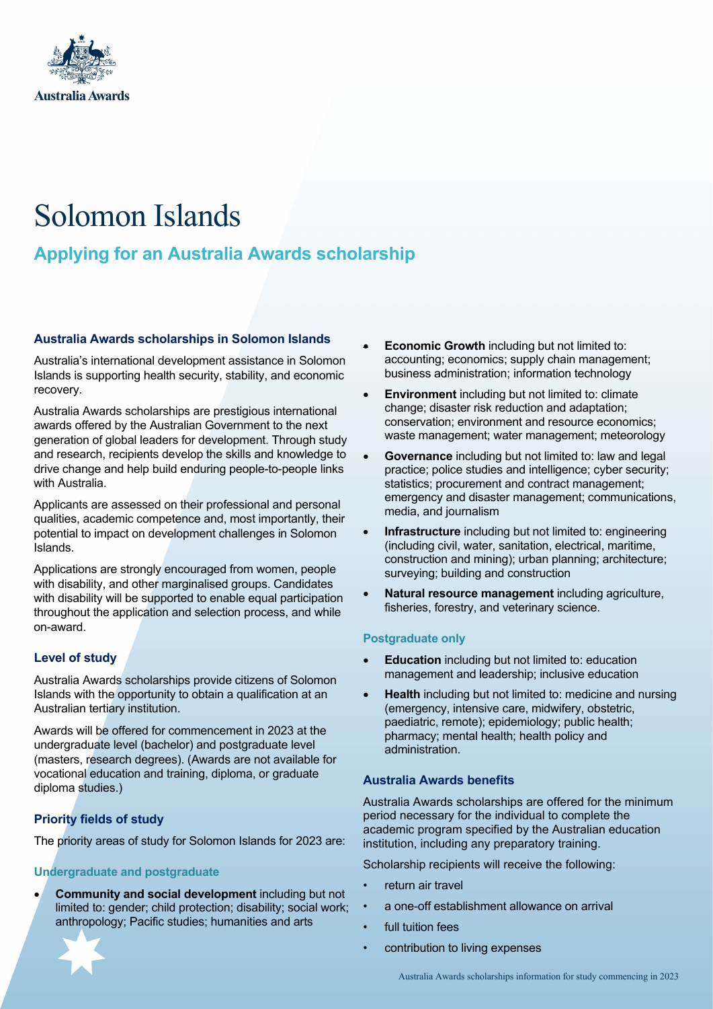

# Solomon Islands

# **Applying for an Australia Awards scholarship**

#### **Australia Awards scholarships in Solomon Islands**

Australia's international development assistance in Solomon Islands is supporting health security, stability, and economic recovery.

Australia Awards scholarships are prestigious international awards offered by the Australian Government to the next generation of global leaders for development. Through study and research, recipients develop the skills and knowledge to drive change and help build enduring people-to-people links with Australia.

Applicants are assessed on their professional and personal qualities, academic competence and, most importantly, their potential to impact on development challenges in Solomon Islands.

Applications are strongly encouraged from women, people with disability, and other marginalised groups. Candidates with disability will be supported to enable equal participation throughout the application and selection process, and while on-award.

### **Level of study**

Australia Awards scholarships provide citizens of Solomon Islands with the opportunity to obtain a qualification at an Australian tertiary institution.

Awards will be offered for commencement in 2023 at the undergraduate level (bachelor) and postgraduate level (masters, research degrees). (Awards are not available for vocational education and training, diploma, or graduate diploma studies.)

## **Priority fields of study**

The priority areas of study for Solomon Islands for 2023 are:

### **Undergraduate and postgraduate**

• **Community and social development** including but not limited to: gender; child protection; disability; social work; anthropology; Pacific studies; humanities and arts



- **Environment** including but not limited to: climate change; disaster risk reduction and adaptation; conservation; environment and resource economics; waste management; water management; meteorology
- **Governance** including but not limited to: law and legal practice; police studies and intelligence; cyber security; statistics; procurement and contract management; emergency and disaster management; communications, media, and journalism
- **Infrastructure** including but not limited to: engineering (including civil, water, sanitation, electrical, maritime, construction and mining); urban planning; architecture; surveying; building and construction
- **Natural resource management** including agriculture, fisheries, forestry, and veterinary science.

#### **Postgraduate only**

- **Education** including but not limited to: education management and leadership; inclusive education
- **Health** including but not limited to: medicine and nursing (emergency, intensive care, midwifery, obstetric, paediatric, remote); epidemiology; public health; pharmacy; mental health; health policy and administration.

#### **Australia Awards benefits**

Australia Awards scholarships are offered for the minimum period necessary for the individual to complete the academic program specified by the Australian education institution, including any preparatory training.

Scholarship recipients will receive the following:

- return air travel
- a one-off establishment allowance on arrival
- full tuition fees
- contribution to living expenses